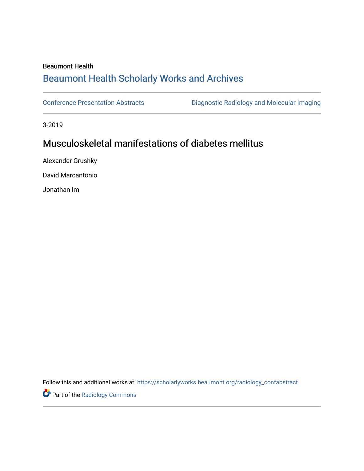## Beaumont Health [Beaumont Health Scholarly Works and Archives](https://scholarlyworks.beaumont.org/)

[Conference Presentation Abstracts](https://scholarlyworks.beaumont.org/radiology_confabstract) [Diagnostic Radiology and Molecular Imaging](https://scholarlyworks.beaumont.org/radiology) 

3-2019

## Musculoskeletal manifestations of diabetes mellitus

Alexander Grushky

David Marcantonio

Jonathan Im

Follow this and additional works at: [https://scholarlyworks.beaumont.org/radiology\\_confabstract](https://scholarlyworks.beaumont.org/radiology_confabstract?utm_source=scholarlyworks.beaumont.org%2Fradiology_confabstract%2F28&utm_medium=PDF&utm_campaign=PDFCoverPages)

**Part of the Radiology Commons**